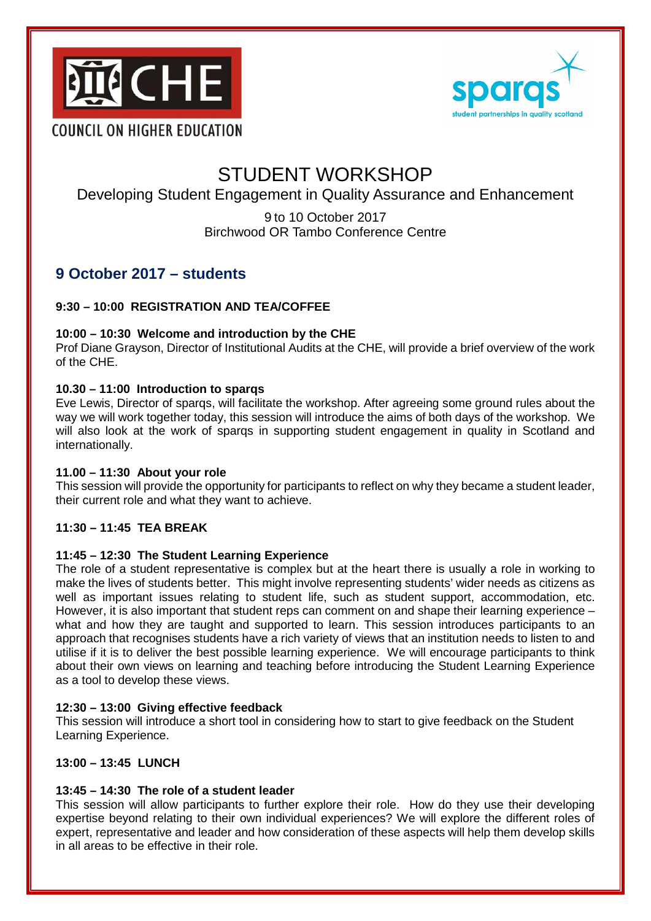



# STUDENT WORKSHOP

# Developing Student Engagement in Quality Assurance and Enhancement

9 to 10 October 2017 Birchwood OR Tambo Conference Centre

# **9 October 2017 – students**

# **9:30 – 10:00 REGISTRATION AND TEA/COFFEE**

# **10:00 – 10:30 Welcome and introduction by the CHE**

Prof Diane Grayson, Director of Institutional Audits at the CHE, will provide a brief overview of the work of the CHE.

# **10.30 – 11:00 Introduction to sparqs**

Eve Lewis, Director of sparqs, will facilitate the workshop. After agreeing some ground rules about the way we will work together today, this session will introduce the aims of both days of the workshop. We will also look at the work of sparqs in supporting student engagement in quality in Scotland and internationally.

# **11.00 – 11:30 About your role**

This session will provide the opportunity for participants to reflect on why they became a student leader, their current role and what they want to achieve.

# **11:30 – 11:45 TEA BREAK**

# **11:45 – 12:30 The Student Learning Experience**

The role of a student representative is complex but at the heart there is usually a role in working to make the lives of students better. This might involve representing students' wider needs as citizens as well as important issues relating to student life, such as student support, accommodation, etc. However, it is also important that student reps can comment on and shape their learning experience – what and how they are taught and supported to learn. This session introduces participants to an approach that recognises students have a rich variety of views that an institution needs to listen to and utilise if it is to deliver the best possible learning experience. We will encourage participants to think about their own views on learning and teaching before introducing the Student Learning Experience as a tool to develop these views.

# **12:30 – 13:00 Giving effective feedback**

This session will introduce a short tool in considering how to start to give feedback on the Student Learning Experience.

# **13:00 – 13:45 LUNCH**

# **13:45 – 14:30 The role of a student leader**

This session will allow participants to further explore their role. How do they use their developing expertise beyond relating to their own individual experiences? We will explore the different roles of expert, representative and leader and how consideration of these aspects will help them develop skills in all areas to be effective in their role.